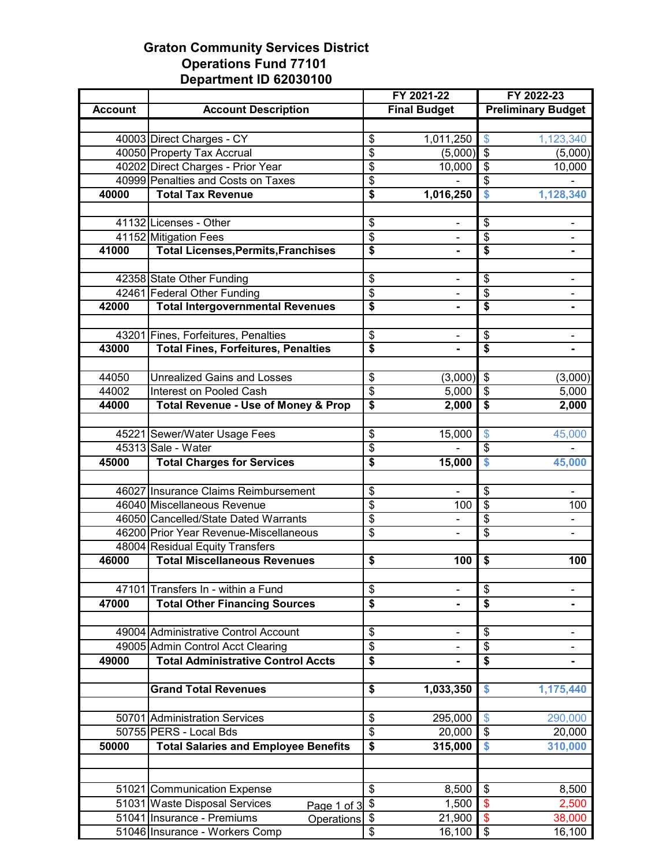## **Graton Community Services District Operations Fund 77101 Department ID 62030100**

|                |                                                |                                  | FY 2021-22          | FY 2022-23                           |
|----------------|------------------------------------------------|----------------------------------|---------------------|--------------------------------------|
| <b>Account</b> | <b>Account Description</b>                     |                                  | <b>Final Budget</b> | <b>Preliminary Budget</b>            |
|                |                                                |                                  |                     |                                      |
|                | 40003 Direct Charges - CY                      | \$                               | 1,011,250           | $\mathsf{\$}$<br>1,123,340           |
|                | 40050 Property Tax Accrual                     | $\overline{\$}$                  | (5,000)             | $\overline{\$}$<br>(5,000)           |
|                | 40202 Direct Charges - Prior Year              | \$                               | $\overline{10,000}$ | $\overline{\$}$<br>10,000            |
|                | 40999 Penalties and Costs on Taxes             | \$                               |                     | $\overline{\$}$                      |
| 40000          | <b>Total Tax Revenue</b>                       | \$                               | 1,016,250           | $\overline{\mathbf{s}}$<br>1,128,340 |
|                |                                                |                                  |                     |                                      |
|                | 41132 Licenses - Other                         | \$                               |                     | \$                                   |
|                | 41152 Mitigation Fees                          | \$                               |                     | $\overline{\$}$                      |
| 41000          | <b>Total Licenses, Permits, Franchises</b>     | \$                               |                     | $\overline{\boldsymbol{\mathsf{s}}}$ |
|                |                                                |                                  |                     |                                      |
|                | 42358 State Other Funding                      | \$                               | ۰                   | \$<br>$\blacksquare$                 |
|                | 42461 Federal Other Funding                    | \$                               | ۰                   | $\overline{\boldsymbol{\theta}}$     |
| 42000          | <b>Total Intergovernmental Revenues</b>        | \$                               |                     | $\overline{\$}$                      |
|                |                                                |                                  |                     |                                      |
|                | 43201 Fines, Forfeitures, Penalties            | \$                               |                     | \$                                   |
| 43000          | <b>Total Fines, Forfeitures, Penalties</b>     | \$                               |                     | $\overline{\$}$                      |
|                |                                                |                                  |                     |                                      |
| 44050          | <b>Unrealized Gains and Losses</b>             | \$                               | $(3,000)$ \$        | (3,000)                              |
| 44002          | Interest on Pooled Cash                        | \$                               | 5,000               | $\sqrt[6]{\frac{1}{2}}$<br>5,000     |
| 44000          | <b>Total Revenue - Use of Money &amp; Prop</b> | \$                               | 2,000               | $\overline{\mathbf{s}}$<br>2,000     |
|                |                                                |                                  |                     |                                      |
|                | 45221 Sewer/Water Usage Fees                   | \$                               | 15,000              | $\boldsymbol{\mathsf{S}}$<br>45,000  |
|                | 45313 Sale - Water                             | $\overline{\$}$                  |                     | $\overline{\$}$                      |
| 45000          | <b>Total Charges for Services</b>              | $\overline{\$}$                  | 15,000              | \$<br>45,000                         |
|                |                                                |                                  |                     |                                      |
|                | 46027 Insurance Claims Reimbursement           | \$                               | ٠                   | \$                                   |
|                | 46040 Miscellaneous Revenue                    | \$                               | 100                 | $\overline{\$}$<br>100               |
|                | 46050 Cancelled/State Dated Warrants           | \$                               |                     | $\overline{\mathcal{S}}$             |
|                | 46200 Prior Year Revenue-Miscellaneous         | $\overline{\$}$                  | ۰                   | $\overline{\$}$                      |
|                | 48004 Residual Equity Transfers                |                                  |                     |                                      |
| 46000          | <b>Total Miscellaneous Revenues</b>            | \$                               | 100                 | \$<br>100                            |
|                |                                                |                                  |                     |                                      |
|                | 47101 Transfers In - within a Fund             | \$                               |                     | \$                                   |
| 47000          | <b>Total Other Financing Sources</b>           | \$                               |                     | $\overline{\boldsymbol{\mathsf{s}}}$ |
|                |                                                |                                  |                     |                                      |
|                | 49004 Administrative Control Account           | \$                               |                     | \$                                   |
|                | 49005 Admin Control Acct Clearing              | \$                               |                     | $\overline{\mathbf{e}}$              |
| 49000          | <b>Total Administrative Control Accts</b>      | \$                               |                     | $\overline{\boldsymbol{\mathsf{s}}}$ |
|                |                                                |                                  |                     |                                      |
|                | <b>Grand Total Revenues</b>                    | \$                               | 1,033,350           | \$<br>1,175,440                      |
|                |                                                |                                  |                     |                                      |
|                | 50701 Administration Services                  | \$                               | 295,000             | 290,000<br>$\boldsymbol{\mathsf{S}}$ |
|                | 50755 PERS - Local Bds                         | $\overline{\$}$                  | 20,000              | \$<br>20,000                         |
| 50000          | <b>Total Salaries and Employee Benefits</b>    | \$                               | 315,000             | $\bullet$<br>310,000                 |
|                |                                                |                                  |                     |                                      |
|                |                                                |                                  |                     |                                      |
|                | 51021 Communication Expense                    | \$                               | 8,500               | \$<br>8,500                          |
|                | 51031 Waste Disposal Services                  | $\boldsymbol{\theta}$            | 1,500               | $\boldsymbol{\$}$<br>2,500           |
|                | Page 1 of 3<br>51041 Insurance - Premiums      | $\boldsymbol{\theta}$            | 21,900              | $\boldsymbol{\$}$<br>38,000          |
|                | Operations<br>51046 Insurance - Workers Comp   | $\overline{\boldsymbol{\theta}}$ | 16,100              | $\overline{\mathcal{S}}$<br>16,100   |
|                |                                                |                                  |                     |                                      |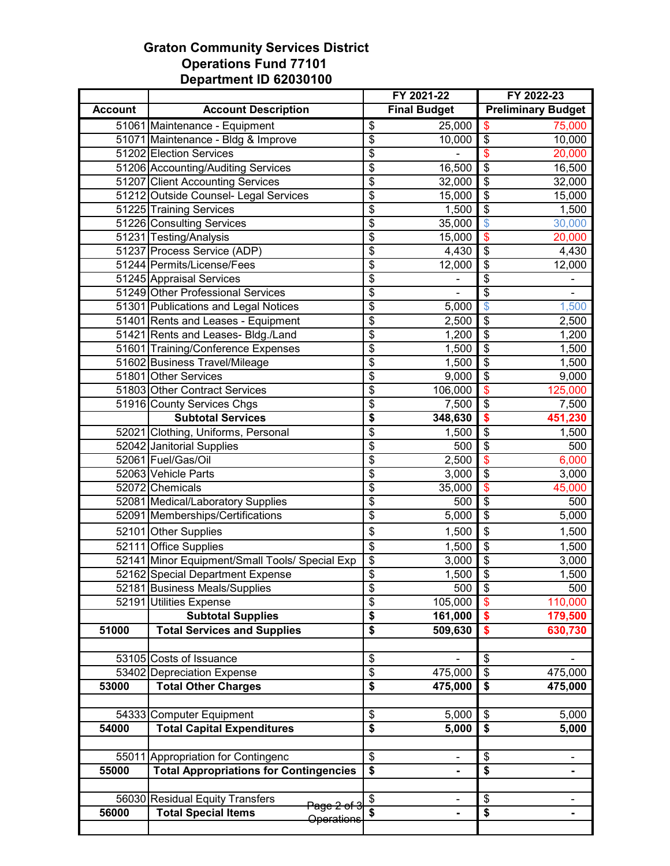## **Graton Community Services District Operations Fund 77101 Department ID 62030100**

| <b>Final Budget</b><br><b>Account</b><br><b>Account Description</b><br><b>Preliminary Budget</b><br>\$<br>25,000<br>51061 Maintenance - Equipment<br>75,000<br>\$<br>\$<br>$\overline{\$}$<br>51071 Maintenance - Bldg & Improve<br>10,000<br>10,000<br>\$<br>51202 Election Services<br>\$<br>20,000<br>$\overline{\$}$<br>$\overline{\$}$<br>51206 Accounting/Auditing Services<br>16,500<br>16,500<br>\$<br>$\overline{\boldsymbol{\theta}}$<br>51207 Client Accounting Services<br>32,000<br>32,000<br>\$<br>$\overline{\boldsymbol{\theta}}$<br>51212 Outside Counsel- Legal Services<br>15,000<br>15,000<br>\$<br>$\overline{\mathbf{3}}$<br>51225 Training Services<br>1,500<br>1,500<br>\$<br>\$<br>51226 Consulting Services<br>35,000<br>30,000<br>\$<br>$\overline{\mathbf{S}}$<br>51231 Testing/Analysis<br>15,000<br>20,000<br>\$<br>$\overline{\boldsymbol{\mathsf{s}}}$<br>51237 Process Service (ADP)<br>4,430<br>4,430<br>\$<br>$\overline{\boldsymbol{\mathsf{s}}}$<br>51244 Permits/License/Fees<br>12,000<br>$\overline{12,000}$<br>$\overline{\$}$<br>$\overline{\boldsymbol{\theta}}$<br>51245 Appraisal Services<br>$\overline{\$}$<br>$\overline{\$}$<br>51249 Other Professional Services<br>\$<br>\$<br>51301 Publications and Legal Notices<br>1,500<br>5,000<br>\$<br>51401 Rents and Leases - Equipment<br>$\boldsymbol{\mathsf{\$}}$<br>2,500<br>2,500<br>$\overline{\$}$<br>$\overline{\boldsymbol{\mathsf{s}}}$<br>51421 Rents and Leases- Bldg./Land<br>1,200<br>1,200<br>\$<br>\$<br>51601 Training/Conference Expenses<br>1,500<br>1,500<br>\$<br>$\overline{\boldsymbol{\theta}}$<br>51602 Business Travel/Mileage<br>1,500<br>1,500<br>\$<br>$\overline{\boldsymbol{\mathsf{s}}}$<br>51801 Other Services<br>9,000<br>9,000<br>\$<br>$\overline{\mathbf{S}}$<br>51803 Other Contract Services<br>106,000<br>125,000<br>$\overline{\$}$<br>$\overline{\$}$<br>51916 County Services Chgs<br>7,500<br>7,500<br>\$<br><b>Subtotal Services</b><br>\$<br>348,630<br>451,230<br>\$<br>52021 Clothing, Uniforms, Personal<br>$\overline{\mathbf{3}}$<br>1,500<br>1,500<br>\$<br>$\overline{\boldsymbol{\mathsf{s}}}$<br>52042 Janitorial Supplies<br>500<br>500<br>\$<br>$\overline{\mathbf{S}}$<br>52061 Fuel/Gas/Oil<br>2,500<br>6,000<br>52063 Vehicle Parts<br>\$<br>$\overline{\boldsymbol{\mathsf{s}}}$<br>3,000<br>3,000<br>\$<br>$\overline{\mathbf{S}}$<br>52072 Chemicals<br>35,000<br>45,000<br>$\overline{\$}$<br>$\overline{\$}$<br>52081 Medical/Laboratory Supplies<br>500<br>500<br>$\overline{\$}$<br>$\overline{\boldsymbol{\theta}}$<br>52091 Memberships/Certifications<br>5,000<br>5,000<br>\$<br>\$<br>52101 Other Supplies<br>1,500<br>1,500<br>$\overline{\$}$<br>52111 Office Supplies<br>$\overline{\mathcal{S}}$<br>1,500<br>1,500<br>$\overline{\$}$<br>$\overline{\$}$<br>52141 Minor Equipment/Small Tools/ Special Exp<br>3,000<br>3,000<br>$\overline{\$}$<br>$\overline{\mathcal{S}}$<br>52162 Special Department Expense<br>1,500<br>1,500<br>$\overline{\mathcal{E}}$<br>$\overline{\mathbf{e}}$<br>52181 Business Meals/Supplies<br>500<br>500<br>$\overline{\mathcal{E}}$<br>52191 Utilities Expense<br>105,000<br>$\boldsymbol{\$}$<br>110,000<br><b>Subtotal Supplies</b><br>$\overline{\boldsymbol{\mathsf{s}}}$<br>161,000<br>$\boldsymbol{\$}$<br>179,500<br>$\overline{\boldsymbol{\mathsf{s}}}$<br>51000<br><b>Total Services and Supplies</b><br>509,630<br>\$<br>630,730<br>53105 Costs of Issuance<br>\$<br>\$<br>$\overline{\mathcal{E}}$<br>\$<br>53402<br><b>Depreciation Expense</b><br>475,000<br>475,000<br>$\overline{\$}$<br><b>Total Other Charges</b><br>53000<br>475,000<br>\$<br>475,000<br>\$<br>54333 Computer Equipment<br>\$<br>5,000<br>5,000<br>$\overline{\$}$<br><b>Total Capital Expenditures</b><br>5,000<br>$\overline{\boldsymbol{\mathsf{s}}}$<br>5,000<br>54000<br>\$<br>Appropriation for Contingenc<br>\$<br>55011<br><b>Total Appropriations for Contingencies</b><br>$\overline{\$}$<br>$\overline{\boldsymbol{\mathsf{s}}}$<br>55000<br>\$<br>56030 Residual Equity Transfers<br>\$<br><del>Page 2 ol</del><br>$\overline{\boldsymbol{\mathsf{s}}}$<br>56000<br><b>Total Special Items</b><br>\$<br>Ξ.<br><del>Operation</del> |  | FY 2021-22 | FY 2022-23 |
|---------------------------------------------------------------------------------------------------------------------------------------------------------------------------------------------------------------------------------------------------------------------------------------------------------------------------------------------------------------------------------------------------------------------------------------------------------------------------------------------------------------------------------------------------------------------------------------------------------------------------------------------------------------------------------------------------------------------------------------------------------------------------------------------------------------------------------------------------------------------------------------------------------------------------------------------------------------------------------------------------------------------------------------------------------------------------------------------------------------------------------------------------------------------------------------------------------------------------------------------------------------------------------------------------------------------------------------------------------------------------------------------------------------------------------------------------------------------------------------------------------------------------------------------------------------------------------------------------------------------------------------------------------------------------------------------------------------------------------------------------------------------------------------------------------------------------------------------------------------------------------------------------------------------------------------------------------------------------------------------------------------------------------------------------------------------------------------------------------------------------------------------------------------------------------------------------------------------------------------------------------------------------------------------------------------------------------------------------------------------------------------------------------------------------------------------------------------------------------------------------------------------------------------------------------------------------------------------------------------------------------------------------------------------------------------------------------------------------------------------------------------------------------------------------------------------------------------------------------------------------------------------------------------------------------------------------------------------------------------------------------------------------------------------------------------------------------------------------------------------------------------------------------------------------------------------------------------------------------------------------------------------------------------------------------------------------------------------------------------------------------------------------------------------------------------------------------------------------------------------------------------------------------------------------------------------------------------------------------------------------------------------------------------------------------------------------------------------------------------------------------------------------------------------------------------------------------------------------------------------------------------------------------------------------------------------------------------------------------------------------------------------------------------------------------------------------------------------------------------------------------------------------------------------------------------------------------------------------------------------|--|------------|------------|
|                                                                                                                                                                                                                                                                                                                                                                                                                                                                                                                                                                                                                                                                                                                                                                                                                                                                                                                                                                                                                                                                                                                                                                                                                                                                                                                                                                                                                                                                                                                                                                                                                                                                                                                                                                                                                                                                                                                                                                                                                                                                                                                                                                                                                                                                                                                                                                                                                                                                                                                                                                                                                                                                                                                                                                                                                                                                                                                                                                                                                                                                                                                                                                                                                                                                                                                                                                                                                                                                                                                                                                                                                                                                                                                                                                                                                                                                                                                                                                                                                                                                                                                                                                                                                                             |  |            |            |
|                                                                                                                                                                                                                                                                                                                                                                                                                                                                                                                                                                                                                                                                                                                                                                                                                                                                                                                                                                                                                                                                                                                                                                                                                                                                                                                                                                                                                                                                                                                                                                                                                                                                                                                                                                                                                                                                                                                                                                                                                                                                                                                                                                                                                                                                                                                                                                                                                                                                                                                                                                                                                                                                                                                                                                                                                                                                                                                                                                                                                                                                                                                                                                                                                                                                                                                                                                                                                                                                                                                                                                                                                                                                                                                                                                                                                                                                                                                                                                                                                                                                                                                                                                                                                                             |  |            |            |
|                                                                                                                                                                                                                                                                                                                                                                                                                                                                                                                                                                                                                                                                                                                                                                                                                                                                                                                                                                                                                                                                                                                                                                                                                                                                                                                                                                                                                                                                                                                                                                                                                                                                                                                                                                                                                                                                                                                                                                                                                                                                                                                                                                                                                                                                                                                                                                                                                                                                                                                                                                                                                                                                                                                                                                                                                                                                                                                                                                                                                                                                                                                                                                                                                                                                                                                                                                                                                                                                                                                                                                                                                                                                                                                                                                                                                                                                                                                                                                                                                                                                                                                                                                                                                                             |  |            |            |
|                                                                                                                                                                                                                                                                                                                                                                                                                                                                                                                                                                                                                                                                                                                                                                                                                                                                                                                                                                                                                                                                                                                                                                                                                                                                                                                                                                                                                                                                                                                                                                                                                                                                                                                                                                                                                                                                                                                                                                                                                                                                                                                                                                                                                                                                                                                                                                                                                                                                                                                                                                                                                                                                                                                                                                                                                                                                                                                                                                                                                                                                                                                                                                                                                                                                                                                                                                                                                                                                                                                                                                                                                                                                                                                                                                                                                                                                                                                                                                                                                                                                                                                                                                                                                                             |  |            |            |
|                                                                                                                                                                                                                                                                                                                                                                                                                                                                                                                                                                                                                                                                                                                                                                                                                                                                                                                                                                                                                                                                                                                                                                                                                                                                                                                                                                                                                                                                                                                                                                                                                                                                                                                                                                                                                                                                                                                                                                                                                                                                                                                                                                                                                                                                                                                                                                                                                                                                                                                                                                                                                                                                                                                                                                                                                                                                                                                                                                                                                                                                                                                                                                                                                                                                                                                                                                                                                                                                                                                                                                                                                                                                                                                                                                                                                                                                                                                                                                                                                                                                                                                                                                                                                                             |  |            |            |
|                                                                                                                                                                                                                                                                                                                                                                                                                                                                                                                                                                                                                                                                                                                                                                                                                                                                                                                                                                                                                                                                                                                                                                                                                                                                                                                                                                                                                                                                                                                                                                                                                                                                                                                                                                                                                                                                                                                                                                                                                                                                                                                                                                                                                                                                                                                                                                                                                                                                                                                                                                                                                                                                                                                                                                                                                                                                                                                                                                                                                                                                                                                                                                                                                                                                                                                                                                                                                                                                                                                                                                                                                                                                                                                                                                                                                                                                                                                                                                                                                                                                                                                                                                                                                                             |  |            |            |
|                                                                                                                                                                                                                                                                                                                                                                                                                                                                                                                                                                                                                                                                                                                                                                                                                                                                                                                                                                                                                                                                                                                                                                                                                                                                                                                                                                                                                                                                                                                                                                                                                                                                                                                                                                                                                                                                                                                                                                                                                                                                                                                                                                                                                                                                                                                                                                                                                                                                                                                                                                                                                                                                                                                                                                                                                                                                                                                                                                                                                                                                                                                                                                                                                                                                                                                                                                                                                                                                                                                                                                                                                                                                                                                                                                                                                                                                                                                                                                                                                                                                                                                                                                                                                                             |  |            |            |
|                                                                                                                                                                                                                                                                                                                                                                                                                                                                                                                                                                                                                                                                                                                                                                                                                                                                                                                                                                                                                                                                                                                                                                                                                                                                                                                                                                                                                                                                                                                                                                                                                                                                                                                                                                                                                                                                                                                                                                                                                                                                                                                                                                                                                                                                                                                                                                                                                                                                                                                                                                                                                                                                                                                                                                                                                                                                                                                                                                                                                                                                                                                                                                                                                                                                                                                                                                                                                                                                                                                                                                                                                                                                                                                                                                                                                                                                                                                                                                                                                                                                                                                                                                                                                                             |  |            |            |
|                                                                                                                                                                                                                                                                                                                                                                                                                                                                                                                                                                                                                                                                                                                                                                                                                                                                                                                                                                                                                                                                                                                                                                                                                                                                                                                                                                                                                                                                                                                                                                                                                                                                                                                                                                                                                                                                                                                                                                                                                                                                                                                                                                                                                                                                                                                                                                                                                                                                                                                                                                                                                                                                                                                                                                                                                                                                                                                                                                                                                                                                                                                                                                                                                                                                                                                                                                                                                                                                                                                                                                                                                                                                                                                                                                                                                                                                                                                                                                                                                                                                                                                                                                                                                                             |  |            |            |
|                                                                                                                                                                                                                                                                                                                                                                                                                                                                                                                                                                                                                                                                                                                                                                                                                                                                                                                                                                                                                                                                                                                                                                                                                                                                                                                                                                                                                                                                                                                                                                                                                                                                                                                                                                                                                                                                                                                                                                                                                                                                                                                                                                                                                                                                                                                                                                                                                                                                                                                                                                                                                                                                                                                                                                                                                                                                                                                                                                                                                                                                                                                                                                                                                                                                                                                                                                                                                                                                                                                                                                                                                                                                                                                                                                                                                                                                                                                                                                                                                                                                                                                                                                                                                                             |  |            |            |
|                                                                                                                                                                                                                                                                                                                                                                                                                                                                                                                                                                                                                                                                                                                                                                                                                                                                                                                                                                                                                                                                                                                                                                                                                                                                                                                                                                                                                                                                                                                                                                                                                                                                                                                                                                                                                                                                                                                                                                                                                                                                                                                                                                                                                                                                                                                                                                                                                                                                                                                                                                                                                                                                                                                                                                                                                                                                                                                                                                                                                                                                                                                                                                                                                                                                                                                                                                                                                                                                                                                                                                                                                                                                                                                                                                                                                                                                                                                                                                                                                                                                                                                                                                                                                                             |  |            |            |
|                                                                                                                                                                                                                                                                                                                                                                                                                                                                                                                                                                                                                                                                                                                                                                                                                                                                                                                                                                                                                                                                                                                                                                                                                                                                                                                                                                                                                                                                                                                                                                                                                                                                                                                                                                                                                                                                                                                                                                                                                                                                                                                                                                                                                                                                                                                                                                                                                                                                                                                                                                                                                                                                                                                                                                                                                                                                                                                                                                                                                                                                                                                                                                                                                                                                                                                                                                                                                                                                                                                                                                                                                                                                                                                                                                                                                                                                                                                                                                                                                                                                                                                                                                                                                                             |  |            |            |
|                                                                                                                                                                                                                                                                                                                                                                                                                                                                                                                                                                                                                                                                                                                                                                                                                                                                                                                                                                                                                                                                                                                                                                                                                                                                                                                                                                                                                                                                                                                                                                                                                                                                                                                                                                                                                                                                                                                                                                                                                                                                                                                                                                                                                                                                                                                                                                                                                                                                                                                                                                                                                                                                                                                                                                                                                                                                                                                                                                                                                                                                                                                                                                                                                                                                                                                                                                                                                                                                                                                                                                                                                                                                                                                                                                                                                                                                                                                                                                                                                                                                                                                                                                                                                                             |  |            |            |
|                                                                                                                                                                                                                                                                                                                                                                                                                                                                                                                                                                                                                                                                                                                                                                                                                                                                                                                                                                                                                                                                                                                                                                                                                                                                                                                                                                                                                                                                                                                                                                                                                                                                                                                                                                                                                                                                                                                                                                                                                                                                                                                                                                                                                                                                                                                                                                                                                                                                                                                                                                                                                                                                                                                                                                                                                                                                                                                                                                                                                                                                                                                                                                                                                                                                                                                                                                                                                                                                                                                                                                                                                                                                                                                                                                                                                                                                                                                                                                                                                                                                                                                                                                                                                                             |  |            |            |
|                                                                                                                                                                                                                                                                                                                                                                                                                                                                                                                                                                                                                                                                                                                                                                                                                                                                                                                                                                                                                                                                                                                                                                                                                                                                                                                                                                                                                                                                                                                                                                                                                                                                                                                                                                                                                                                                                                                                                                                                                                                                                                                                                                                                                                                                                                                                                                                                                                                                                                                                                                                                                                                                                                                                                                                                                                                                                                                                                                                                                                                                                                                                                                                                                                                                                                                                                                                                                                                                                                                                                                                                                                                                                                                                                                                                                                                                                                                                                                                                                                                                                                                                                                                                                                             |  |            |            |
|                                                                                                                                                                                                                                                                                                                                                                                                                                                                                                                                                                                                                                                                                                                                                                                                                                                                                                                                                                                                                                                                                                                                                                                                                                                                                                                                                                                                                                                                                                                                                                                                                                                                                                                                                                                                                                                                                                                                                                                                                                                                                                                                                                                                                                                                                                                                                                                                                                                                                                                                                                                                                                                                                                                                                                                                                                                                                                                                                                                                                                                                                                                                                                                                                                                                                                                                                                                                                                                                                                                                                                                                                                                                                                                                                                                                                                                                                                                                                                                                                                                                                                                                                                                                                                             |  |            |            |
|                                                                                                                                                                                                                                                                                                                                                                                                                                                                                                                                                                                                                                                                                                                                                                                                                                                                                                                                                                                                                                                                                                                                                                                                                                                                                                                                                                                                                                                                                                                                                                                                                                                                                                                                                                                                                                                                                                                                                                                                                                                                                                                                                                                                                                                                                                                                                                                                                                                                                                                                                                                                                                                                                                                                                                                                                                                                                                                                                                                                                                                                                                                                                                                                                                                                                                                                                                                                                                                                                                                                                                                                                                                                                                                                                                                                                                                                                                                                                                                                                                                                                                                                                                                                                                             |  |            |            |
|                                                                                                                                                                                                                                                                                                                                                                                                                                                                                                                                                                                                                                                                                                                                                                                                                                                                                                                                                                                                                                                                                                                                                                                                                                                                                                                                                                                                                                                                                                                                                                                                                                                                                                                                                                                                                                                                                                                                                                                                                                                                                                                                                                                                                                                                                                                                                                                                                                                                                                                                                                                                                                                                                                                                                                                                                                                                                                                                                                                                                                                                                                                                                                                                                                                                                                                                                                                                                                                                                                                                                                                                                                                                                                                                                                                                                                                                                                                                                                                                                                                                                                                                                                                                                                             |  |            |            |
|                                                                                                                                                                                                                                                                                                                                                                                                                                                                                                                                                                                                                                                                                                                                                                                                                                                                                                                                                                                                                                                                                                                                                                                                                                                                                                                                                                                                                                                                                                                                                                                                                                                                                                                                                                                                                                                                                                                                                                                                                                                                                                                                                                                                                                                                                                                                                                                                                                                                                                                                                                                                                                                                                                                                                                                                                                                                                                                                                                                                                                                                                                                                                                                                                                                                                                                                                                                                                                                                                                                                                                                                                                                                                                                                                                                                                                                                                                                                                                                                                                                                                                                                                                                                                                             |  |            |            |
|                                                                                                                                                                                                                                                                                                                                                                                                                                                                                                                                                                                                                                                                                                                                                                                                                                                                                                                                                                                                                                                                                                                                                                                                                                                                                                                                                                                                                                                                                                                                                                                                                                                                                                                                                                                                                                                                                                                                                                                                                                                                                                                                                                                                                                                                                                                                                                                                                                                                                                                                                                                                                                                                                                                                                                                                                                                                                                                                                                                                                                                                                                                                                                                                                                                                                                                                                                                                                                                                                                                                                                                                                                                                                                                                                                                                                                                                                                                                                                                                                                                                                                                                                                                                                                             |  |            |            |
|                                                                                                                                                                                                                                                                                                                                                                                                                                                                                                                                                                                                                                                                                                                                                                                                                                                                                                                                                                                                                                                                                                                                                                                                                                                                                                                                                                                                                                                                                                                                                                                                                                                                                                                                                                                                                                                                                                                                                                                                                                                                                                                                                                                                                                                                                                                                                                                                                                                                                                                                                                                                                                                                                                                                                                                                                                                                                                                                                                                                                                                                                                                                                                                                                                                                                                                                                                                                                                                                                                                                                                                                                                                                                                                                                                                                                                                                                                                                                                                                                                                                                                                                                                                                                                             |  |            |            |
|                                                                                                                                                                                                                                                                                                                                                                                                                                                                                                                                                                                                                                                                                                                                                                                                                                                                                                                                                                                                                                                                                                                                                                                                                                                                                                                                                                                                                                                                                                                                                                                                                                                                                                                                                                                                                                                                                                                                                                                                                                                                                                                                                                                                                                                                                                                                                                                                                                                                                                                                                                                                                                                                                                                                                                                                                                                                                                                                                                                                                                                                                                                                                                                                                                                                                                                                                                                                                                                                                                                                                                                                                                                                                                                                                                                                                                                                                                                                                                                                                                                                                                                                                                                                                                             |  |            |            |
|                                                                                                                                                                                                                                                                                                                                                                                                                                                                                                                                                                                                                                                                                                                                                                                                                                                                                                                                                                                                                                                                                                                                                                                                                                                                                                                                                                                                                                                                                                                                                                                                                                                                                                                                                                                                                                                                                                                                                                                                                                                                                                                                                                                                                                                                                                                                                                                                                                                                                                                                                                                                                                                                                                                                                                                                                                                                                                                                                                                                                                                                                                                                                                                                                                                                                                                                                                                                                                                                                                                                                                                                                                                                                                                                                                                                                                                                                                                                                                                                                                                                                                                                                                                                                                             |  |            |            |
|                                                                                                                                                                                                                                                                                                                                                                                                                                                                                                                                                                                                                                                                                                                                                                                                                                                                                                                                                                                                                                                                                                                                                                                                                                                                                                                                                                                                                                                                                                                                                                                                                                                                                                                                                                                                                                                                                                                                                                                                                                                                                                                                                                                                                                                                                                                                                                                                                                                                                                                                                                                                                                                                                                                                                                                                                                                                                                                                                                                                                                                                                                                                                                                                                                                                                                                                                                                                                                                                                                                                                                                                                                                                                                                                                                                                                                                                                                                                                                                                                                                                                                                                                                                                                                             |  |            |            |
|                                                                                                                                                                                                                                                                                                                                                                                                                                                                                                                                                                                                                                                                                                                                                                                                                                                                                                                                                                                                                                                                                                                                                                                                                                                                                                                                                                                                                                                                                                                                                                                                                                                                                                                                                                                                                                                                                                                                                                                                                                                                                                                                                                                                                                                                                                                                                                                                                                                                                                                                                                                                                                                                                                                                                                                                                                                                                                                                                                                                                                                                                                                                                                                                                                                                                                                                                                                                                                                                                                                                                                                                                                                                                                                                                                                                                                                                                                                                                                                                                                                                                                                                                                                                                                             |  |            |            |
|                                                                                                                                                                                                                                                                                                                                                                                                                                                                                                                                                                                                                                                                                                                                                                                                                                                                                                                                                                                                                                                                                                                                                                                                                                                                                                                                                                                                                                                                                                                                                                                                                                                                                                                                                                                                                                                                                                                                                                                                                                                                                                                                                                                                                                                                                                                                                                                                                                                                                                                                                                                                                                                                                                                                                                                                                                                                                                                                                                                                                                                                                                                                                                                                                                                                                                                                                                                                                                                                                                                                                                                                                                                                                                                                                                                                                                                                                                                                                                                                                                                                                                                                                                                                                                             |  |            |            |
|                                                                                                                                                                                                                                                                                                                                                                                                                                                                                                                                                                                                                                                                                                                                                                                                                                                                                                                                                                                                                                                                                                                                                                                                                                                                                                                                                                                                                                                                                                                                                                                                                                                                                                                                                                                                                                                                                                                                                                                                                                                                                                                                                                                                                                                                                                                                                                                                                                                                                                                                                                                                                                                                                                                                                                                                                                                                                                                                                                                                                                                                                                                                                                                                                                                                                                                                                                                                                                                                                                                                                                                                                                                                                                                                                                                                                                                                                                                                                                                                                                                                                                                                                                                                                                             |  |            |            |
|                                                                                                                                                                                                                                                                                                                                                                                                                                                                                                                                                                                                                                                                                                                                                                                                                                                                                                                                                                                                                                                                                                                                                                                                                                                                                                                                                                                                                                                                                                                                                                                                                                                                                                                                                                                                                                                                                                                                                                                                                                                                                                                                                                                                                                                                                                                                                                                                                                                                                                                                                                                                                                                                                                                                                                                                                                                                                                                                                                                                                                                                                                                                                                                                                                                                                                                                                                                                                                                                                                                                                                                                                                                                                                                                                                                                                                                                                                                                                                                                                                                                                                                                                                                                                                             |  |            |            |
|                                                                                                                                                                                                                                                                                                                                                                                                                                                                                                                                                                                                                                                                                                                                                                                                                                                                                                                                                                                                                                                                                                                                                                                                                                                                                                                                                                                                                                                                                                                                                                                                                                                                                                                                                                                                                                                                                                                                                                                                                                                                                                                                                                                                                                                                                                                                                                                                                                                                                                                                                                                                                                                                                                                                                                                                                                                                                                                                                                                                                                                                                                                                                                                                                                                                                                                                                                                                                                                                                                                                                                                                                                                                                                                                                                                                                                                                                                                                                                                                                                                                                                                                                                                                                                             |  |            |            |
|                                                                                                                                                                                                                                                                                                                                                                                                                                                                                                                                                                                                                                                                                                                                                                                                                                                                                                                                                                                                                                                                                                                                                                                                                                                                                                                                                                                                                                                                                                                                                                                                                                                                                                                                                                                                                                                                                                                                                                                                                                                                                                                                                                                                                                                                                                                                                                                                                                                                                                                                                                                                                                                                                                                                                                                                                                                                                                                                                                                                                                                                                                                                                                                                                                                                                                                                                                                                                                                                                                                                                                                                                                                                                                                                                                                                                                                                                                                                                                                                                                                                                                                                                                                                                                             |  |            |            |
|                                                                                                                                                                                                                                                                                                                                                                                                                                                                                                                                                                                                                                                                                                                                                                                                                                                                                                                                                                                                                                                                                                                                                                                                                                                                                                                                                                                                                                                                                                                                                                                                                                                                                                                                                                                                                                                                                                                                                                                                                                                                                                                                                                                                                                                                                                                                                                                                                                                                                                                                                                                                                                                                                                                                                                                                                                                                                                                                                                                                                                                                                                                                                                                                                                                                                                                                                                                                                                                                                                                                                                                                                                                                                                                                                                                                                                                                                                                                                                                                                                                                                                                                                                                                                                             |  |            |            |
|                                                                                                                                                                                                                                                                                                                                                                                                                                                                                                                                                                                                                                                                                                                                                                                                                                                                                                                                                                                                                                                                                                                                                                                                                                                                                                                                                                                                                                                                                                                                                                                                                                                                                                                                                                                                                                                                                                                                                                                                                                                                                                                                                                                                                                                                                                                                                                                                                                                                                                                                                                                                                                                                                                                                                                                                                                                                                                                                                                                                                                                                                                                                                                                                                                                                                                                                                                                                                                                                                                                                                                                                                                                                                                                                                                                                                                                                                                                                                                                                                                                                                                                                                                                                                                             |  |            |            |
|                                                                                                                                                                                                                                                                                                                                                                                                                                                                                                                                                                                                                                                                                                                                                                                                                                                                                                                                                                                                                                                                                                                                                                                                                                                                                                                                                                                                                                                                                                                                                                                                                                                                                                                                                                                                                                                                                                                                                                                                                                                                                                                                                                                                                                                                                                                                                                                                                                                                                                                                                                                                                                                                                                                                                                                                                                                                                                                                                                                                                                                                                                                                                                                                                                                                                                                                                                                                                                                                                                                                                                                                                                                                                                                                                                                                                                                                                                                                                                                                                                                                                                                                                                                                                                             |  |            |            |
|                                                                                                                                                                                                                                                                                                                                                                                                                                                                                                                                                                                                                                                                                                                                                                                                                                                                                                                                                                                                                                                                                                                                                                                                                                                                                                                                                                                                                                                                                                                                                                                                                                                                                                                                                                                                                                                                                                                                                                                                                                                                                                                                                                                                                                                                                                                                                                                                                                                                                                                                                                                                                                                                                                                                                                                                                                                                                                                                                                                                                                                                                                                                                                                                                                                                                                                                                                                                                                                                                                                                                                                                                                                                                                                                                                                                                                                                                                                                                                                                                                                                                                                                                                                                                                             |  |            |            |
|                                                                                                                                                                                                                                                                                                                                                                                                                                                                                                                                                                                                                                                                                                                                                                                                                                                                                                                                                                                                                                                                                                                                                                                                                                                                                                                                                                                                                                                                                                                                                                                                                                                                                                                                                                                                                                                                                                                                                                                                                                                                                                                                                                                                                                                                                                                                                                                                                                                                                                                                                                                                                                                                                                                                                                                                                                                                                                                                                                                                                                                                                                                                                                                                                                                                                                                                                                                                                                                                                                                                                                                                                                                                                                                                                                                                                                                                                                                                                                                                                                                                                                                                                                                                                                             |  |            |            |
|                                                                                                                                                                                                                                                                                                                                                                                                                                                                                                                                                                                                                                                                                                                                                                                                                                                                                                                                                                                                                                                                                                                                                                                                                                                                                                                                                                                                                                                                                                                                                                                                                                                                                                                                                                                                                                                                                                                                                                                                                                                                                                                                                                                                                                                                                                                                                                                                                                                                                                                                                                                                                                                                                                                                                                                                                                                                                                                                                                                                                                                                                                                                                                                                                                                                                                                                                                                                                                                                                                                                                                                                                                                                                                                                                                                                                                                                                                                                                                                                                                                                                                                                                                                                                                             |  |            |            |
|                                                                                                                                                                                                                                                                                                                                                                                                                                                                                                                                                                                                                                                                                                                                                                                                                                                                                                                                                                                                                                                                                                                                                                                                                                                                                                                                                                                                                                                                                                                                                                                                                                                                                                                                                                                                                                                                                                                                                                                                                                                                                                                                                                                                                                                                                                                                                                                                                                                                                                                                                                                                                                                                                                                                                                                                                                                                                                                                                                                                                                                                                                                                                                                                                                                                                                                                                                                                                                                                                                                                                                                                                                                                                                                                                                                                                                                                                                                                                                                                                                                                                                                                                                                                                                             |  |            |            |
|                                                                                                                                                                                                                                                                                                                                                                                                                                                                                                                                                                                                                                                                                                                                                                                                                                                                                                                                                                                                                                                                                                                                                                                                                                                                                                                                                                                                                                                                                                                                                                                                                                                                                                                                                                                                                                                                                                                                                                                                                                                                                                                                                                                                                                                                                                                                                                                                                                                                                                                                                                                                                                                                                                                                                                                                                                                                                                                                                                                                                                                                                                                                                                                                                                                                                                                                                                                                                                                                                                                                                                                                                                                                                                                                                                                                                                                                                                                                                                                                                                                                                                                                                                                                                                             |  |            |            |
|                                                                                                                                                                                                                                                                                                                                                                                                                                                                                                                                                                                                                                                                                                                                                                                                                                                                                                                                                                                                                                                                                                                                                                                                                                                                                                                                                                                                                                                                                                                                                                                                                                                                                                                                                                                                                                                                                                                                                                                                                                                                                                                                                                                                                                                                                                                                                                                                                                                                                                                                                                                                                                                                                                                                                                                                                                                                                                                                                                                                                                                                                                                                                                                                                                                                                                                                                                                                                                                                                                                                                                                                                                                                                                                                                                                                                                                                                                                                                                                                                                                                                                                                                                                                                                             |  |            |            |
|                                                                                                                                                                                                                                                                                                                                                                                                                                                                                                                                                                                                                                                                                                                                                                                                                                                                                                                                                                                                                                                                                                                                                                                                                                                                                                                                                                                                                                                                                                                                                                                                                                                                                                                                                                                                                                                                                                                                                                                                                                                                                                                                                                                                                                                                                                                                                                                                                                                                                                                                                                                                                                                                                                                                                                                                                                                                                                                                                                                                                                                                                                                                                                                                                                                                                                                                                                                                                                                                                                                                                                                                                                                                                                                                                                                                                                                                                                                                                                                                                                                                                                                                                                                                                                             |  |            |            |
|                                                                                                                                                                                                                                                                                                                                                                                                                                                                                                                                                                                                                                                                                                                                                                                                                                                                                                                                                                                                                                                                                                                                                                                                                                                                                                                                                                                                                                                                                                                                                                                                                                                                                                                                                                                                                                                                                                                                                                                                                                                                                                                                                                                                                                                                                                                                                                                                                                                                                                                                                                                                                                                                                                                                                                                                                                                                                                                                                                                                                                                                                                                                                                                                                                                                                                                                                                                                                                                                                                                                                                                                                                                                                                                                                                                                                                                                                                                                                                                                                                                                                                                                                                                                                                             |  |            |            |
|                                                                                                                                                                                                                                                                                                                                                                                                                                                                                                                                                                                                                                                                                                                                                                                                                                                                                                                                                                                                                                                                                                                                                                                                                                                                                                                                                                                                                                                                                                                                                                                                                                                                                                                                                                                                                                                                                                                                                                                                                                                                                                                                                                                                                                                                                                                                                                                                                                                                                                                                                                                                                                                                                                                                                                                                                                                                                                                                                                                                                                                                                                                                                                                                                                                                                                                                                                                                                                                                                                                                                                                                                                                                                                                                                                                                                                                                                                                                                                                                                                                                                                                                                                                                                                             |  |            |            |
|                                                                                                                                                                                                                                                                                                                                                                                                                                                                                                                                                                                                                                                                                                                                                                                                                                                                                                                                                                                                                                                                                                                                                                                                                                                                                                                                                                                                                                                                                                                                                                                                                                                                                                                                                                                                                                                                                                                                                                                                                                                                                                                                                                                                                                                                                                                                                                                                                                                                                                                                                                                                                                                                                                                                                                                                                                                                                                                                                                                                                                                                                                                                                                                                                                                                                                                                                                                                                                                                                                                                                                                                                                                                                                                                                                                                                                                                                                                                                                                                                                                                                                                                                                                                                                             |  |            |            |
|                                                                                                                                                                                                                                                                                                                                                                                                                                                                                                                                                                                                                                                                                                                                                                                                                                                                                                                                                                                                                                                                                                                                                                                                                                                                                                                                                                                                                                                                                                                                                                                                                                                                                                                                                                                                                                                                                                                                                                                                                                                                                                                                                                                                                                                                                                                                                                                                                                                                                                                                                                                                                                                                                                                                                                                                                                                                                                                                                                                                                                                                                                                                                                                                                                                                                                                                                                                                                                                                                                                                                                                                                                                                                                                                                                                                                                                                                                                                                                                                                                                                                                                                                                                                                                             |  |            |            |
|                                                                                                                                                                                                                                                                                                                                                                                                                                                                                                                                                                                                                                                                                                                                                                                                                                                                                                                                                                                                                                                                                                                                                                                                                                                                                                                                                                                                                                                                                                                                                                                                                                                                                                                                                                                                                                                                                                                                                                                                                                                                                                                                                                                                                                                                                                                                                                                                                                                                                                                                                                                                                                                                                                                                                                                                                                                                                                                                                                                                                                                                                                                                                                                                                                                                                                                                                                                                                                                                                                                                                                                                                                                                                                                                                                                                                                                                                                                                                                                                                                                                                                                                                                                                                                             |  |            |            |
|                                                                                                                                                                                                                                                                                                                                                                                                                                                                                                                                                                                                                                                                                                                                                                                                                                                                                                                                                                                                                                                                                                                                                                                                                                                                                                                                                                                                                                                                                                                                                                                                                                                                                                                                                                                                                                                                                                                                                                                                                                                                                                                                                                                                                                                                                                                                                                                                                                                                                                                                                                                                                                                                                                                                                                                                                                                                                                                                                                                                                                                                                                                                                                                                                                                                                                                                                                                                                                                                                                                                                                                                                                                                                                                                                                                                                                                                                                                                                                                                                                                                                                                                                                                                                                             |  |            |            |
|                                                                                                                                                                                                                                                                                                                                                                                                                                                                                                                                                                                                                                                                                                                                                                                                                                                                                                                                                                                                                                                                                                                                                                                                                                                                                                                                                                                                                                                                                                                                                                                                                                                                                                                                                                                                                                                                                                                                                                                                                                                                                                                                                                                                                                                                                                                                                                                                                                                                                                                                                                                                                                                                                                                                                                                                                                                                                                                                                                                                                                                                                                                                                                                                                                                                                                                                                                                                                                                                                                                                                                                                                                                                                                                                                                                                                                                                                                                                                                                                                                                                                                                                                                                                                                             |  |            |            |
|                                                                                                                                                                                                                                                                                                                                                                                                                                                                                                                                                                                                                                                                                                                                                                                                                                                                                                                                                                                                                                                                                                                                                                                                                                                                                                                                                                                                                                                                                                                                                                                                                                                                                                                                                                                                                                                                                                                                                                                                                                                                                                                                                                                                                                                                                                                                                                                                                                                                                                                                                                                                                                                                                                                                                                                                                                                                                                                                                                                                                                                                                                                                                                                                                                                                                                                                                                                                                                                                                                                                                                                                                                                                                                                                                                                                                                                                                                                                                                                                                                                                                                                                                                                                                                             |  |            |            |
|                                                                                                                                                                                                                                                                                                                                                                                                                                                                                                                                                                                                                                                                                                                                                                                                                                                                                                                                                                                                                                                                                                                                                                                                                                                                                                                                                                                                                                                                                                                                                                                                                                                                                                                                                                                                                                                                                                                                                                                                                                                                                                                                                                                                                                                                                                                                                                                                                                                                                                                                                                                                                                                                                                                                                                                                                                                                                                                                                                                                                                                                                                                                                                                                                                                                                                                                                                                                                                                                                                                                                                                                                                                                                                                                                                                                                                                                                                                                                                                                                                                                                                                                                                                                                                             |  |            |            |
|                                                                                                                                                                                                                                                                                                                                                                                                                                                                                                                                                                                                                                                                                                                                                                                                                                                                                                                                                                                                                                                                                                                                                                                                                                                                                                                                                                                                                                                                                                                                                                                                                                                                                                                                                                                                                                                                                                                                                                                                                                                                                                                                                                                                                                                                                                                                                                                                                                                                                                                                                                                                                                                                                                                                                                                                                                                                                                                                                                                                                                                                                                                                                                                                                                                                                                                                                                                                                                                                                                                                                                                                                                                                                                                                                                                                                                                                                                                                                                                                                                                                                                                                                                                                                                             |  |            |            |
|                                                                                                                                                                                                                                                                                                                                                                                                                                                                                                                                                                                                                                                                                                                                                                                                                                                                                                                                                                                                                                                                                                                                                                                                                                                                                                                                                                                                                                                                                                                                                                                                                                                                                                                                                                                                                                                                                                                                                                                                                                                                                                                                                                                                                                                                                                                                                                                                                                                                                                                                                                                                                                                                                                                                                                                                                                                                                                                                                                                                                                                                                                                                                                                                                                                                                                                                                                                                                                                                                                                                                                                                                                                                                                                                                                                                                                                                                                                                                                                                                                                                                                                                                                                                                                             |  |            |            |
|                                                                                                                                                                                                                                                                                                                                                                                                                                                                                                                                                                                                                                                                                                                                                                                                                                                                                                                                                                                                                                                                                                                                                                                                                                                                                                                                                                                                                                                                                                                                                                                                                                                                                                                                                                                                                                                                                                                                                                                                                                                                                                                                                                                                                                                                                                                                                                                                                                                                                                                                                                                                                                                                                                                                                                                                                                                                                                                                                                                                                                                                                                                                                                                                                                                                                                                                                                                                                                                                                                                                                                                                                                                                                                                                                                                                                                                                                                                                                                                                                                                                                                                                                                                                                                             |  |            |            |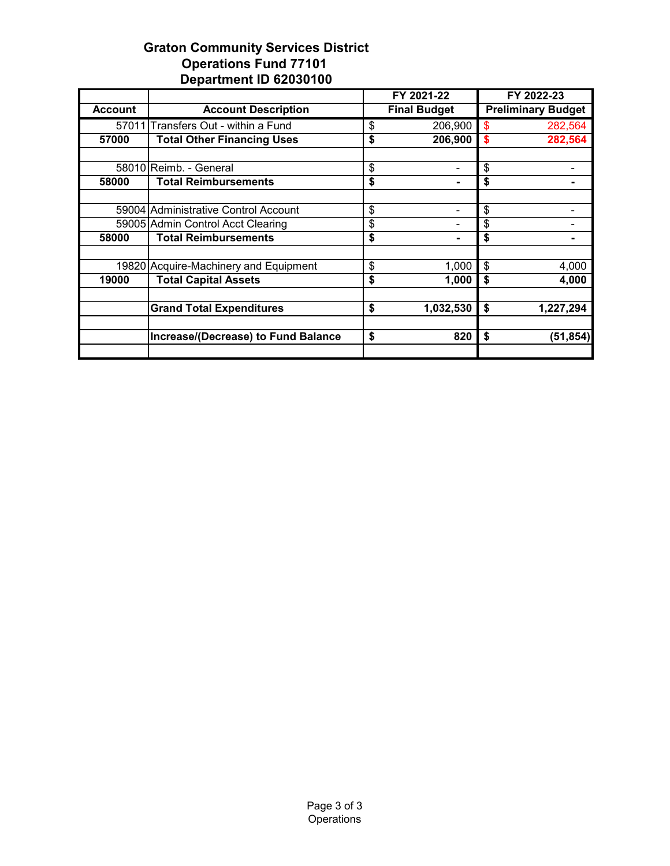## **Graton Community Services District Operations Fund 77101 Department ID 62030100**

|                |                                       |                     | FY 2021-22 |                           | FY 2022-23 |
|----------------|---------------------------------------|---------------------|------------|---------------------------|------------|
| <b>Account</b> | <b>Account Description</b>            | <b>Final Budget</b> |            | <b>Preliminary Budget</b> |            |
| 57011          | Transfers Out - within a Fund         | \$                  | 206,900    | \$                        | 282,564    |
| 57000          | <b>Total Other Financing Uses</b>     | \$                  | 206,900    | \$                        | 282,564    |
|                |                                       |                     |            |                           |            |
|                | 58010 Reimb. - General                | \$                  | -          | \$                        |            |
| 58000          | <b>Total Reimbursements</b>           | \$                  |            | \$                        |            |
|                |                                       |                     |            |                           |            |
|                | 59004 Administrative Control Account  | \$                  |            | \$                        |            |
|                | 59005 Admin Control Acct Clearing     | \$                  |            | \$                        |            |
| 58000          | <b>Total Reimbursements</b>           | \$                  |            | \$                        |            |
|                |                                       |                     |            |                           |            |
|                | 19820 Acquire-Machinery and Equipment | \$                  | 1,000      | \$                        | 4,000      |
| 19000          | <b>Total Capital Assets</b>           | \$                  | 1,000      | \$                        | 4,000      |
|                |                                       |                     |            |                           |            |
|                | <b>Grand Total Expenditures</b>       | \$                  | 1,032,530  | \$                        | 1,227,294  |
|                |                                       |                     |            |                           |            |
|                | Increase/(Decrease) to Fund Balance   | \$                  | 820        | \$                        | (51, 854)  |
|                |                                       |                     |            |                           |            |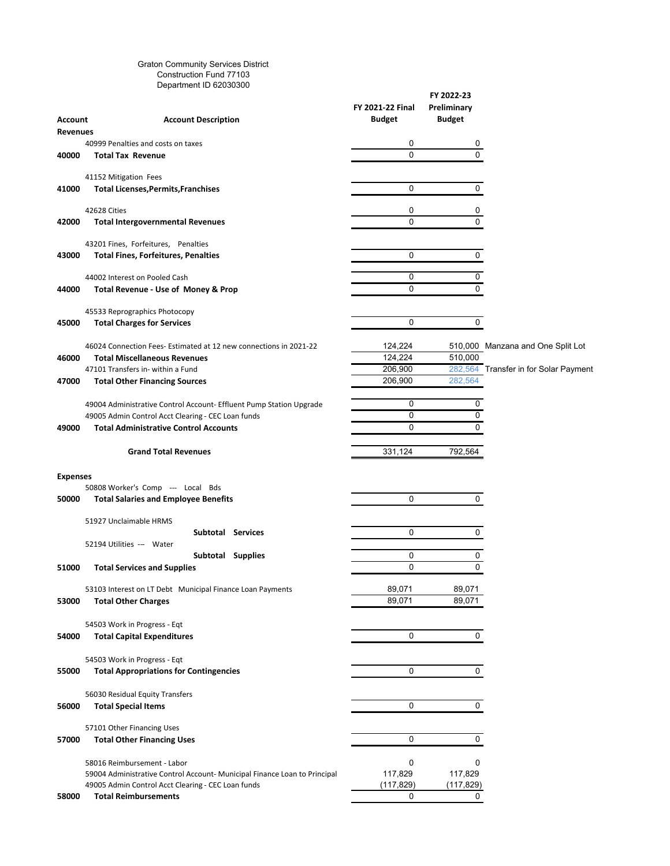Graton Community Services District Construction Fund 77103 Department ID 62030300

| Account         | <b>Account Description</b>                                                                              | FY 2021-22 Final<br><b>Budget</b> | Preliminary<br>Budget |                                       |
|-----------------|---------------------------------------------------------------------------------------------------------|-----------------------------------|-----------------------|---------------------------------------|
| <b>Revenues</b> |                                                                                                         |                                   |                       |                                       |
|                 | 40999 Penalties and costs on taxes                                                                      | 0                                 | 0                     |                                       |
| 40000           | <b>Total Tax Revenue</b>                                                                                | $\Omega$                          | 0                     |                                       |
|                 | 41152 Mitigation Fees                                                                                   |                                   |                       |                                       |
| 41000           | <b>Total Licenses, Permits, Franchises</b>                                                              | 0                                 | 0                     |                                       |
|                 |                                                                                                         |                                   |                       |                                       |
|                 | 42628 Cities                                                                                            | 0                                 | 0                     |                                       |
| 42000           | <b>Total Intergovernmental Revenues</b>                                                                 | $\Omega$                          | 0                     |                                       |
|                 |                                                                                                         |                                   |                       |                                       |
| 43000           | 43201 Fines, Forfeitures, Penalties<br><b>Total Fines, Forfeitures, Penalties</b>                       | 0                                 | 0                     |                                       |
|                 |                                                                                                         |                                   |                       |                                       |
|                 | 44002 Interest on Pooled Cash                                                                           | 0                                 | 0                     |                                       |
| 44000           | Total Revenue - Use of Money & Prop                                                                     | 0                                 | 0                     |                                       |
|                 |                                                                                                         |                                   |                       |                                       |
|                 | 45533 Reprographics Photocopy                                                                           |                                   |                       |                                       |
| 45000           | <b>Total Charges for Services</b>                                                                       | 0                                 | 0                     |                                       |
|                 |                                                                                                         |                                   |                       |                                       |
| 46000           | 46024 Connection Fees-Estimated at 12 new connections in 2021-22<br><b>Total Miscellaneous Revenues</b> | 124,224<br>124,224                | 510,000               | 510,000 Manzana and One Split Lot     |
|                 | 47101 Transfers in- within a Fund                                                                       | 206,900                           |                       | 282,564 Transfer in for Solar Payment |
| 47000           | <b>Total Other Financing Sources</b>                                                                    | 206,900                           | 282,564               |                                       |
|                 |                                                                                                         |                                   |                       |                                       |
|                 | 49004 Administrative Control Account- Effluent Pump Station Upgrade                                     | 0                                 | 0                     |                                       |
|                 | 49005 Admin Control Acct Clearing - CEC Loan funds                                                      | $\overline{0}$                    | 0                     |                                       |
| 49000           | <b>Total Administrative Control Accounts</b>                                                            | 0                                 | $\Omega$              |                                       |
|                 |                                                                                                         |                                   |                       |                                       |
|                 | <b>Grand Total Revenues</b>                                                                             | 331,124                           | 792,564               |                                       |
|                 |                                                                                                         |                                   |                       |                                       |
| <b>Expenses</b> |                                                                                                         |                                   |                       |                                       |
|                 | 50808 Worker's Comp --- Local Bds                                                                       |                                   |                       |                                       |
| 50000           | <b>Total Salaries and Employee Benefits</b>                                                             | 0                                 | 0                     |                                       |
|                 | 51927 Unclaimable HRMS                                                                                  |                                   |                       |                                       |
|                 | Subtotal Services                                                                                       | 0                                 | 0                     |                                       |
|                 | 52194 Utilities -- Water                                                                                |                                   |                       |                                       |
|                 | Subtotal Supplies                                                                                       | 0                                 | 0                     |                                       |
| 51000           | <b>Total Services and Supplies</b>                                                                      | 0                                 | 0                     |                                       |
|                 |                                                                                                         |                                   |                       |                                       |
| 53000           | 53103 Interest on LT Debt Municipal Finance Loan Payments<br><b>Total Other Charges</b>                 | 89,071<br>89,071                  | 89,071<br>89,071      |                                       |
|                 |                                                                                                         |                                   |                       |                                       |
|                 | 54503 Work in Progress - Eqt                                                                            |                                   |                       |                                       |
| 54000           | <b>Total Capital Expenditures</b>                                                                       | 0                                 | 0                     |                                       |
|                 |                                                                                                         |                                   |                       |                                       |
|                 | 54503 Work in Progress - Eqt                                                                            |                                   |                       |                                       |
| 55000           | <b>Total Appropriations for Contingencies</b>                                                           | 0                                 | 0                     |                                       |
|                 |                                                                                                         |                                   |                       |                                       |
|                 | 56030 Residual Equity Transfers                                                                         |                                   |                       |                                       |
| 56000           | <b>Total Special Items</b>                                                                              | 0                                 | 0                     |                                       |
|                 | 57101 Other Financing Uses                                                                              |                                   |                       |                                       |
| 57000           | <b>Total Other Financing Uses</b>                                                                       | 0                                 | 0                     |                                       |
|                 |                                                                                                         |                                   |                       |                                       |
|                 | 58016 Reimbursement - Labor                                                                             | 0                                 | 0                     |                                       |
|                 | 59004 Administrative Control Account- Municipal Finance Loan to Principal                               | 117,829                           | 117,829               |                                       |
|                 | 49005 Admin Control Acct Clearing - CEC Loan funds                                                      | (117, 829)                        | (117, 829)            |                                       |
| 58000           | <b>Total Reimbursements</b>                                                                             | 0                                 | 0                     |                                       |

**FY 2022‐23**